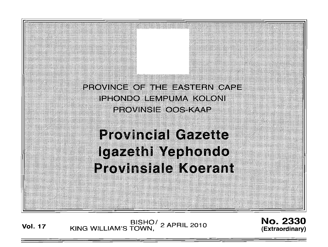

BISHO<sup>/</sup> 2 APRIL 2010<br>2010 KING WILLIAM'S TOWN,

No. 2330 (Extraord inary)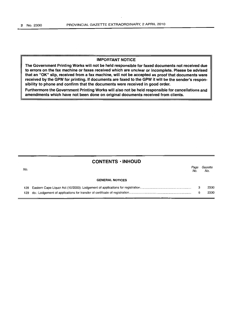### IMPORTANT NOTICE

The Government Printing Works will not be held responsible for faxed documents not received due to errors on the fax machine or faxes received which are unclear or incomplete. Please be advised that an "OK" slip, received from a fax machine, will not be accepted as proof that documents were received by the GPW for printing. If documents are faxed to the GPW it will be the sender's responsibility to phone and confirm that the documents were received in good order.

Furthermore the Government Printing Works will also not be held responsible for cancellations and amendments which have not been done on original documents received from clients.

|      | <b>CONTENTS · INHOUD</b> |             |                |
|------|--------------------------|-------------|----------------|
| No.  |                          | Page<br>No. | Gazette<br>No. |
|      | <b>GENERAL NOTICES</b>   |             |                |
| 128  |                          | 3           | 2330           |
| 129. |                          | 6           | 2330           |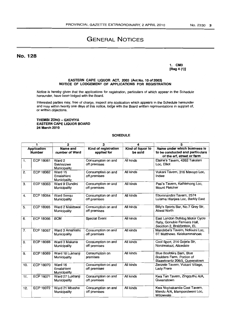# GENERAL NOTICES

## No. 128

1. CM3 [Reg 4 (1)]

#### EASTERN CAPE LIQUOR ACT, 2003 (Act No. 10 of 2003) NOTICE OF LODGEMENT OF APPLICATIONS FOR REGISTRATION

Notice is hereby given that the applications for registration, particulars of which appear in the Schedule hereunder, have been lodged with the Board.

Interested parties may, free of charge, inspect any application which appears in the Schedule hereunder and may within twenty one days of this notice, lodge with the Board written representations in support of, or written objections.

### THEMBI ZONO - GXOYIYA EASTERN CAPE LIQUOR BOARD 24 March 2010

### **SCHEDULE**

| 2<br>1                       |                  |                                       | 3                                   | 4                            | 5                                                                                              |
|------------------------------|------------------|---------------------------------------|-------------------------------------|------------------------------|------------------------------------------------------------------------------------------------|
| Application<br><b>Number</b> |                  | Name and<br>number of Ward            | Kind of registration<br>applied for | Kind of liquor to<br>be sold | Name under which business is<br>to be conducted and particulars<br>of the erf, street or farm  |
| 1.                           | ECP 18061        | Ward 2<br>Sakhisizwe<br>Municipality  | Consumption on and<br>off premises  | All kinds                    | Elaine's Tavern, 4262 Takalani<br>Loc. Elliot                                                  |
| 2.                           | <b>ECP 18062</b> | Ward 15<br>Emalahleni<br>Municipality | Consumption on and<br>off premises  | All kinds                    | Vukani Tavern, 316 Mavuyo Loc,<br>Indwe                                                        |
| З.                           | <b>ECP 18063</b> | Ward 9 Elundini<br>Municipality       | Consumption on and<br>off premises  | All kinds                    | Pasi's Tavern, Kathlehong Loc,<br>Mount Fletcher                                               |
| 4.                           | <b>ECP 18064</b> | Ward Senqu<br>Municipality            | Consumption on and<br>off premises  | All kinds                    | Ebumnandini Tavern, 2574<br>Lulama Hlanjwa Loc, Barkly East                                    |
| 5.                           | <b>ECP 18065</b> | Ward 2 Maletswai<br>Municipality      | Consumption on and<br>off premises  | All kinds                    | Billy's Sports Bar, No.7 Grey Str,<br><b>Aliwal North</b>                                      |
| 6.                           | <b>ECP 18066</b> | <b>BCM</b>                            | <b>Special Event</b>                | All kinds                    | East London Bulldog Motor Cycle<br>Rally, Gonubie Farmers Hall,<br>Secction 2, Brakfontein, EL |
| 7.                           | <b>ECP 18067</b> | Ward 3 Amahlathi<br>Municipality      | Consumption on and<br>off premises  | All kinds                    | Mandebe's Tavern, Ndlovini Loc,<br>ST Matthews. Keiskammahoek                                  |
| 8.                           | <b>ECP 18068</b> | Ward 3 Makana<br>Municipality         | Consumption on and<br>off premises  | All kinds                    | Cool Sport, 214 Gojela Str,<br>Nonzwakazi, Alicedale                                           |
| 9.                           | ECP 18069        | Ward 18 Lukhanji<br>Municipality      | Consumption on<br>premises          | All kinds                    | Blue Boulders Bam, Blue<br>Boulders Farm, Portion of<br>Blaawkrantz 206/3, Queenstown          |
| 10.                          | <b>ECP 18070</b> | Ward 16<br>Emalahleni<br>Municipality | Consumption on and<br>off premises  | All kinds                    | Zenzele Tavern, Vukani Village,<br><b>Lady Frere</b>                                           |
| 11.                          | <b>ECP 18071</b> | Ward 27 Lukhanji<br>Municipality      | Consumption on and<br>off premises  | All kinds                    | Kwa Ten Tavern, Zingquthu A/A,<br>Queenstown                                                   |
| 12.                          | <b>ECP 18072</b> | Ward 21 Mbashe<br>Municipality        | Consumption on and<br>off premises  | All kinds                    | Kwa Nophakamile Cool Tavern,<br>Mendu A/A, Mampondweni Loc,<br>Willowvale                      |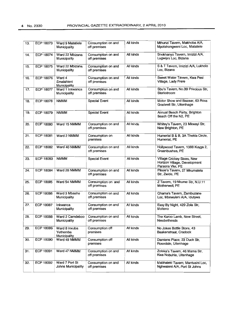| 13. | ECP 18073        | Ward 9 Matatiele<br>Municipality          | Consumption on and<br>off premises | All kinds | Mthunzi Tavern, Makhoba A/A,<br>Mpotshongweni Loc, Matatiele                   |
|-----|------------------|-------------------------------------------|------------------------------------|-----------|--------------------------------------------------------------------------------|
| 14. | ECP 18074        | Ward 22 Mbizana<br>Municipality           | Consumption on and<br>off premises | All kinds | Snokhanyo Tavern, Imizizi A/A,<br>Lugwijini Loc, Bizana                        |
| 15. | <b>ECP 18075</b> | Ward 22 Mbizana<br>Municipality           | Consumption on and<br>off premises | All kinds | S & T Tavern, Imizizi A/A, Lukholo<br>Loc, Bizana                              |
| 16. | <b>ECP 18076</b> | Ward 4<br>Emalahleni<br>Municipality      | Consumption on and<br>off premises | Ail kinds | Sweet Water Tavern, Kwa Pesi<br>Village, Lady Frere                            |
| 17. | <b>ECP 18077</b> | Ward 1 Inkwanca<br>Municipality           | Consumption on and<br>off premises | All kinds | Sbu's Tavern, No.39 Precious Str,<br>Sterkstroom                               |
| 18. | ECP 18078        | <b>NMMM</b>                               | <b>Special Event</b>               | All kinds | Motor Show and Bazaar, 63 Ross<br>Gradwell Str, Uitenhage                      |
| 19. | <b>ECP 18079</b> | <b>NMMM</b>                               | Special Event                      | All kinds | Annual Beach Party, Brighton<br>Beach Off the N2, PE                           |
| 20. | <b>ECP 18080</b> | Ward 15 NMMM                              | Consumption on and<br>off premises | All kinds | Whitey's Tavern, 23 Mkwayi Str,<br>New Brighton, PE                            |
| 21. | <b>ECP 18081</b> | Ward 2 NMMM                               | Consumption on<br>premises         | All kinds | Humerial B & B, 3A Thekla Circle,<br>Humerial, PE                              |
| 22. | <b>ECP 18082</b> | Ward 40 NMMM                              | Consumption on and<br>off premises | All kinds | Hollywood Tavern, 1388 Kuyga 2,<br>Greenbushes, PE                             |
| 23. | <b>ECP 18083</b> | <b>NMMM</b>                               | <b>Special Event</b>               | All kinds | Village Crickey Sixes, New<br>Horizon Village, Development<br>Parsons Viei, PE |
| 24. | ECP 18084        | Ward 28 NMMM                              | Consumption on and<br>off premises | All kinds | Pikxie's Tavern, 27 Mkumatela<br>Str, Zwide, PE                                |
| 25. | <b>ECP 18085</b> | Ward 54 NMMM                              | Consumption on and<br>off premises | All kinds | Z Tavern, 19 Nkume Str, N.U.11<br>Motherwell, PE                               |
| 26. | <b>ECP 18086</b> | Ward 3 Mbashe<br>Municipality             | Consumption on and<br>off premises | All kinds | Qhama's Tavern, Zambuzane<br>Loc, Mbewuleni A/A, Idutywa                       |
| 27. | <b>ECP 18087</b> | Inkwanca<br>Municipality                  | Consumption on and<br>off premises | All kinds | Easy By Night, 429 Zola Str,<br>Molteno                                        |
| 28. | <b>ECP 18088</b> | Ward 2 Camdeboo<br>Municipality           | Consumption on and<br>off premises | All kinds | The Karoo Lamb, New Street,<br>Nieubethesda                                    |
| 29. | <b>ECP 18089</b> | Ward 8 Inxuba<br>Yethemba<br>Municipality | Consumption off<br>premises        | All kinds | No Jokes Bottle Store, 43<br>Baakenstraat, Cradock                             |
| 30. | ECP 18090        | Ward 49 NMMM                              | Consumption off<br>premises        | All kinds | Damiens Place, 23 Duck Str,<br>Rosedale, Uitenhage                             |
| 31. | <b>ECP 18091</b> | Ward 47 NMMM                              | Consumption on and<br>off premises | All kinds | Zoleka's Tavern, 46 Mama Str,<br>Kwa Nobuhle, Uitenhage                        |
| 32. | ECP 18092        | Ward 7 Port St<br>Johns Municipality      | Consumption on and<br>off premises | All kinds | Mabhaleki Tavern, Mantusini Loc,<br>Nghwaleni A/A, Port St Johns               |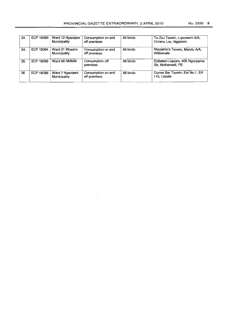| 33. | ECP 18093 | Ward 12 Nyandeni<br>Municipality | Consumption on and<br>off premises | All kinds | Ta Zou Tavern, Lujecweni A/A,<br>Corana Loc, Nggeleni  |
|-----|-----------|----------------------------------|------------------------------------|-----------|--------------------------------------------------------|
| 34. | ECP 18094 | Ward 21 Mbashe<br>Municipality   | Consumption on and<br>off premises | All kinds | Ntozakhe's Tavern, Mendu A/A,<br>Willowvale            |
| 35. | ECP 18095 | Ward 56 NMMM                     | Consumption off<br>premises        | All kinds | Ezibeleni Liquors, 405 Ngonyama<br>Str. Motherwell, PE |
| 36. | ECP 18096 | Ward 7 Nyandeni<br>Municipality  | Consumption on and<br>off premises | All kinds | Corner Bar Tavern, Ext No.1, Erf<br>115. Libode        |